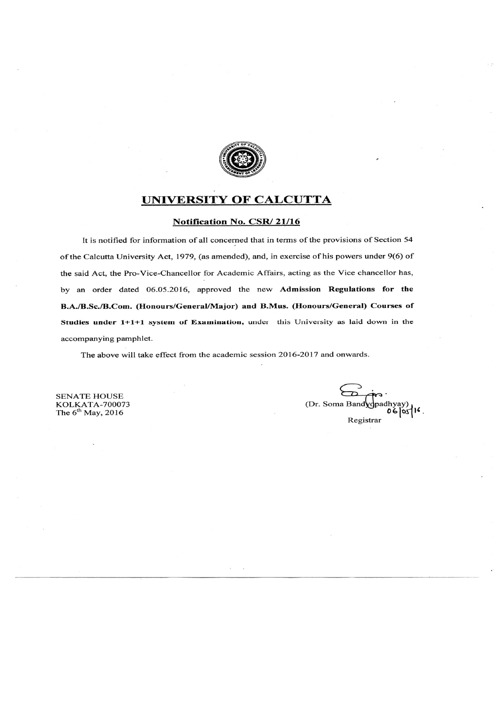

#### UNIVERSITY OF CALCUTTA

#### Notification No. CSR/21/16

It is notified for information of all concerned that in terms of the provisions of Section 54 of the Calcutta University Act, 1979, (as amended), and, in exercise of his powers under 9(6) of the said Act, the Pro-Vice-Chancellor for Academic Affairs, acting as the Vice chancellor has, by an order dated 06.05.2016, approved the new Admission Regulations for the B.A./B.Sc./B.Com. (Honours/General/Major) and B.Mus. (Honours/General) Courses of Studies under 1+1+1 system of Examination, under this University as laid down in the accompanying pamphlet.

The above will take effect from the academic session 2016-2017 and onwards.

**SENATE HOUSE** KOLKATA-700073<br>The  $6^{\text{th}}$  May, 2016

(Dr. Soma Band vopadhyay) Registrar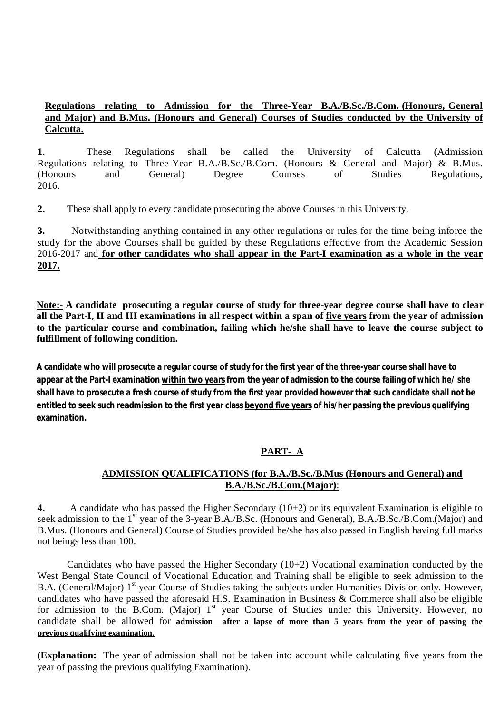#### **Regulations relating to Admission for the Three-Year B.A./B.Sc./B.Com. (Honours, General and Major) and B.Mus. (Honours and General) Courses of Studies conducted by the University of Calcutta.**

**1.** These Regulations shall be called the University of Calcutta (Admission Regulations relating to Three-Year B.A./B.Sc./B.Com. (Honours & General and Major) & B.Mus. (Honours and General) Degree Courses of Studies Regulations, 2016.

**2.** These shall apply to every candidate prosecuting the above Courses in this University.

**3.** Notwithstanding anything contained in any other regulations or rules for the time being inforce the study for the above Courses shall be guided by these Regulations effective from the Academic Session 2016-2017 and **for other candidates who shall appear in the Part-I examination as a whole in the year 2017.** 

**Note:- A candidate prosecuting a regular course of study for three-year degree course shall have to clear all the Part-I, II and III examinations in all respect within a span of five years from the year of admission to the particular course and combination, failing which he/she shall have to leave the course subject to fulfillment of following condition.**

**A candidate who will prosecute a regular course of study for the first year of the three-year course shall have to appear at the Part-I examination within two years from the year of admission to the course failing of which he/ she shall have to prosecute a fresh course of study from the first year provided however that such candidate shall not be entitled to seek such readmission to the first year class beyond five years of his/her passing the previous qualifying examination.**

## **PART-\_A**

#### **ADMISSION QUALIFICATIONS (for B.A./B.Sc./B.Mus (Honours and General) and B.A./B.Sc./B.Com.(Major)**:

**4.** A candidate who has passed the Higher Secondary (10+2) or its equivalent Examination is eligible to seek admission to the 1<sup>st</sup> year of the 3-year B.A./B.Sc. (Honours and General), B.A./B.Sc./B.Com.(Major) and B.Mus. (Honours and General) Course of Studies provided he/she has also passed in English having full marks not beings less than 100.

Candidates who have passed the Higher Secondary  $(10+2)$  Vocational examination conducted by the West Bengal State Council of Vocational Education and Training shall be eligible to seek admission to the B.A. (General/Major) 1<sup>st</sup> year Course of Studies taking the subjects under Humanities Division only. However, candidates who have passed the aforesaid H.S. Examination in Business & Commerce shall also be eligible for admission to the B.Com. (Major)  $1<sup>st</sup>$  year Course of Studies under this University. However, no candidate shall be allowed for **admission after a lapse of more than 5 years from the year of passing the previous qualifying examination.**

**(Explanation:** The year of admission shall not be taken into account while calculating five years from the year of passing the previous qualifying Examination).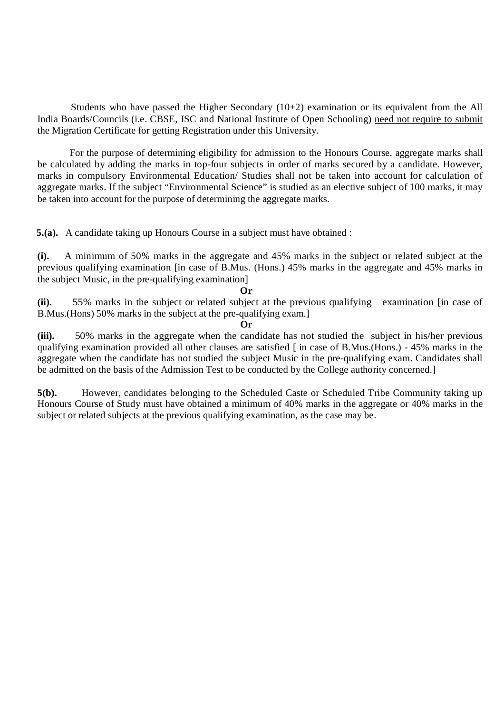Students who have passed the Higher Secondary (10+2) examination or its equivalent from the All India Boards/Councils (i.e. CBSE, ISC and National Institute of Open Schooling) need not require to submit the Migration Certificate for getting Registration under this University.

For the purpose of determining eligibility for admission to the Honours Course, aggregate marks shall be calculated by adding the marks in top-four subjects in order of marks secured by a candidate. However, marks in compulsory Environmental Education/ Studies shall not be taken into account for calculation of aggregate marks. If the subject "Environmental Science" is studied as an elective subject of 100 marks, it may be taken into account for the purpose of determining the aggregate marks.

**5.(a).** A candidate taking up Honours Course in a subject must have obtained :

**(i).** A minimum of 50% marks in the aggregate and 45% marks in the subject or related subject at the previous qualifying examination [in case of B.Mus. (Hons.) 45% marks in the aggregate and 45% marks in the subject Music, in the pre-qualifying examination]

#### **Or**

**(ii).** 55% marks in the subject or related subject at the previous qualifying examination [in case of B.Mus.(Hons) 50% marks in the subject at the pre-qualifying exam.]

**Or** 

**(iii).** 50% marks in the aggregate when the candidate has not studied the subject in his/her previous qualifying examination provided all other clauses are satisfied [ in case of B.Mus.(Hons.) - 45% marks in the aggregate when the candidate has not studied the subject Music in the pre-qualifying exam. Candidates shall be admitted on the basis of the Admission Test to be conducted by the College authority concerned.]

**5(b).** However, candidates belonging to the Scheduled Caste or Scheduled Tribe Community taking up Honours Course of Study must have obtained a minimum of 40% marks in the aggregate or 40% marks in the subject or related subjects at the previous qualifying examination, as the case may be.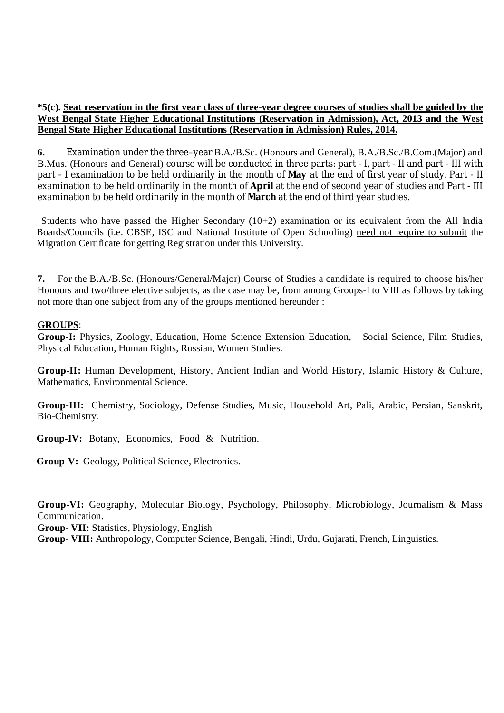#### **\*5(c). Seat reservation in the first year class of three-year degree courses of studies shall be guided by the West Bengal State Higher Educational Institutions (Reservation in Admission), Act, 2013 and the West Bengal State Higher Educational Institutions (Reservation in Admission) Rules, 2014.**

**6**. Examination under the three–year B.A./B.Sc. (Honours and General), B.A./B.Sc./B.Com.(Major) and B.Mus. (Honours and General) course will be conducted in three parts: part - I, part - II and part - III with part - I examination to be held ordinarily in the month of **May** at the end of first year of study. Part - II examination to be held ordinarily in the month of **April** at the end of second year of studies and Part - III examination to be held ordinarily in the month of **March** at the end of third year studies.

Students who have passed the Higher Secondary (10+2) examination or its equivalent from the All India Boards/Councils (i.e. CBSE, ISC and National Institute of Open Schooling) need not require to submit the Migration Certificate for getting Registration under this University.

**7.** For the B.A./B.Sc. (Honours/General/Major) Course of Studies a candidate is required to choose his/her Honours and two/three elective subjects, as the case may be, from among Groups-I to VIII as follows by taking not more than one subject from any of the groups mentioned hereunder :

#### **GROUPS**:

**Group-I:** Physics, Zoology, Education, Home Science Extension Education, Social Science, Film Studies, Physical Education, Human Rights, Russian, Women Studies.

**Group-II:** Human Development, History, Ancient Indian and World History, Islamic History & Culture, Mathematics, Environmental Science.

**Group-III:** Chemistry, Sociology, Defense Studies, Music, Household Art, Pali, Arabic, Persian, Sanskrit, Bio-Chemistry.

**Group-IV:** Botany, Economics, Food & Nutrition.

**Group-V:** Geology, Political Science, Electronics.

**Group-VI:** Geography, Molecular Biology, Psychology, Philosophy, Microbiology, Journalism & Mass Communication.

**Group- VII:** Statistics, Physiology, English

**Group- VIII:** Anthropology, Computer Science, Bengali, Hindi, Urdu, Gujarati, French, Linguistics.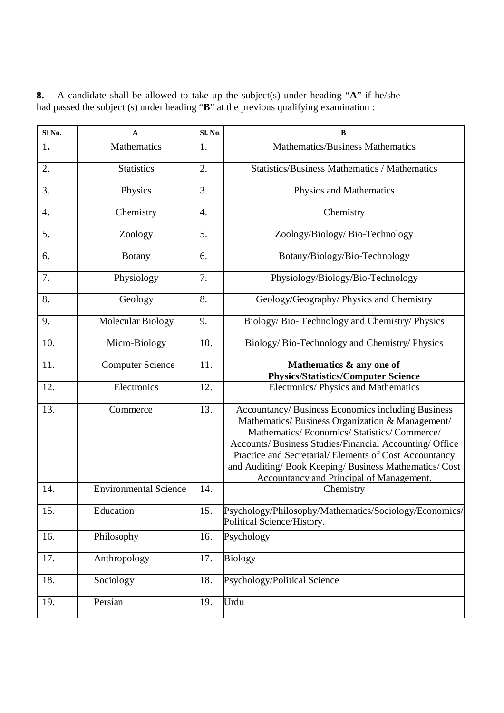**SI No. A SI SI**. **No. B** 1**.** Mathematics 1. Mathematics/Business Mathematics 2. Statistics 2. Statistics/Business Mathematics / Mathematics 3. Physics 2. Physics 3. Physics and Mathematics 4. Chemistry 4. Chemistry 5. Zoology 5. Zoology/Biology/ Bio-Technology 6. Botany 6. Botany/Biology/Bio-Technology 7. Physiology 7. Physiology/Biology/Bio-Technology 8. Ceology 8. Geology/Geography/ Physics and Chemistry 9. Molecular Biology 9. Biology/ Bio- Technology and Chemistry/ Physics 10. Micro-Biology 10. Biology/ Bio-Technology and Chemistry/ Physics 11. Computer Science 11. **Mathematics & any one of Physics/Statistics/Computer Science** 12. **Electronics** 12. Electronics/ Physics and Mathematics 13. Commerce 13. Accountancy/ Business Economics including Business Mathematics/ Business Organization & Management/ Mathematics/ Economics/ Statistics/ Commerce/ Accounts/ Business Studies/Financial Accounting/ Office Practice and Secretarial/ Elements of Cost Accountancy and Auditing/ Book Keeping/ Business Mathematics/ Cost Accountancy and Principal of Management. 14. Environmental Science 14. 15. Education 15. Psychology/Philosophy/Mathematics/Sociology/Economics/ Political Science/History. 16. Philosophy 16. Psychology 17. Anthropology 17. Biology 18. Sociology 18. Psychology/Political Science 19. Persian 19. Urdu

**8.** A candidate shall be allowed to take up the subject(s) under heading "**A**" if he/she had passed the subject (s) under heading "**B**" at the previous qualifying examination :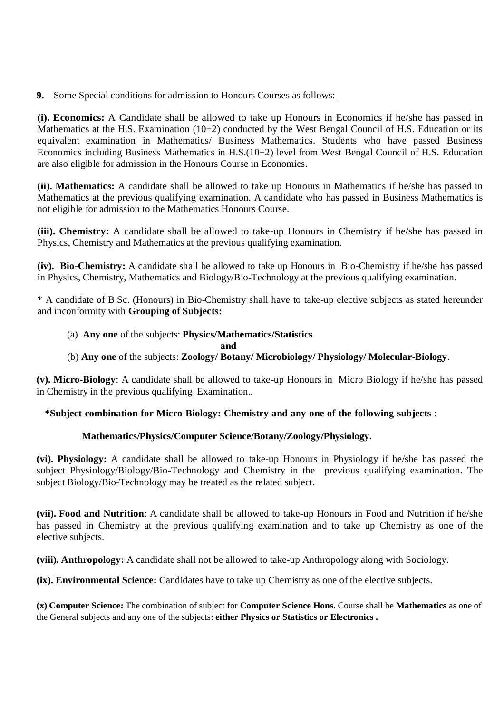#### **9.** Some Special conditions for admission to Honours Courses as follows:

**(i). Economics:** A Candidate shall be allowed to take up Honours in Economics if he/she has passed in Mathematics at the H.S. Examination (10+2) conducted by the West Bengal Council of H.S. Education or its equivalent examination in Mathematics/ Business Mathematics. Students who have passed Business Economics including Business Mathematics in H.S.(10+2) level from West Bengal Council of H.S. Education are also eligible for admission in the Honours Course in Economics.

**(ii). Mathematics:** A candidate shall be allowed to take up Honours in Mathematics if he/she has passed in Mathematics at the previous qualifying examination. A candidate who has passed in Business Mathematics is not eligible for admission to the Mathematics Honours Course.

**(iii). Chemistry:** A candidate shall be allowed to take-up Honours in Chemistry if he/she has passed in Physics, Chemistry and Mathematics at the previous qualifying examination.

**(iv). Bio-Chemistry:** A candidate shall be allowed to take up Honours in Bio-Chemistry if he/she has passed in Physics, Chemistry, Mathematics and Biology/Bio-Technology at the previous qualifying examination.

\* A candidate of B.Sc. (Honours) in Bio-Chemistry shall have to take-up elective subjects as stated hereunder and inconformity with **Grouping of Subjects:**

#### (a) **Any one** of the subjects: **Physics/Mathematics/Statistics**

#### **and**

(b) **Any one** of the subjects: **Zoology/ Botany/ Microbiology/ Physiology/ Molecular-Biology**.

**(v). Micro-Biology**: A candidate shall be allowed to take-up Honours in Micro Biology if he/she has passed in Chemistry in the previous qualifying Examination..

#### **\*Subject combination for Micro-Biology: Chemistry and any one of the following subjects** :

#### **Mathematics/Physics/Computer Science/Botany/Zoology/Physiology.**

**(vi). Physiology:** A candidate shall be allowed to take-up Honours in Physiology if he/she has passed the subject Physiology/Biology/Bio-Technology and Chemistry in the previous qualifying examination. The subject Biology/Bio-Technology may be treated as the related subject.

**(vii). Food and Nutrition**: A candidate shall be allowed to take-up Honours in Food and Nutrition if he/she has passed in Chemistry at the previous qualifying examination and to take up Chemistry as one of the elective subjects.

**(viii). Anthropology:** A candidate shall not be allowed to take-up Anthropology along with Sociology.

**(ix). Environmental Science:** Candidates have to take up Chemistry as one of the elective subjects.

**(x) Computer Science:** The combination of subject for **Computer Science Hons**. Course shall be **Mathematics** as one of the General subjects and any one of the subjects: **either Physics or Statistics or Electronics .**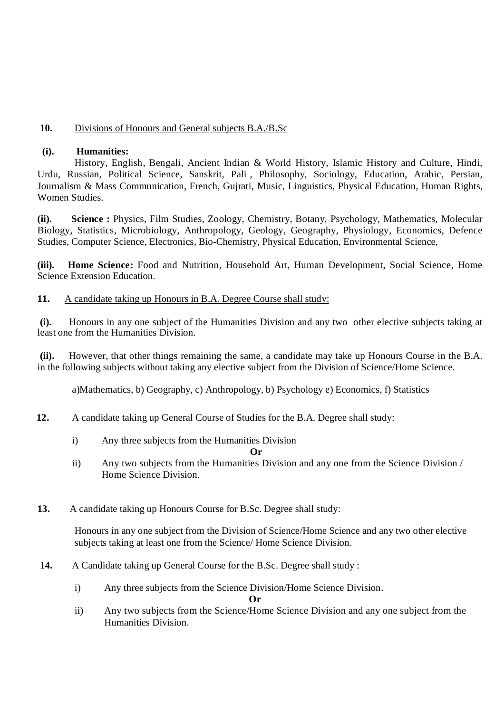#### **10.** Divisions of Honours and General subjects B.A./B.Sc

#### **(i). Humanities:**

History, English, Bengali, Ancient Indian & World History, Islamic History and Culture, Hindi, Urdu, Russian, Political Science, Sanskrit, Pali , Philosophy, Sociology, Education, Arabic, Persian, Journalism & Mass Communication, French, Gujrati, Music, Linguistics, Physical Education, Human Rights, Women Studies.

**(ii). Science :** Physics, Film Studies, Zoology, Chemistry, Botany, Psychology, Mathematics, Molecular Biology, Statistics, Microbiology, Anthropology, Geology, Geography, Physiology, Economics, Defence Studies, Computer Science, Electronics, Bio-Chemistry, Physical Education, Environmental Science,

**(iii). Home Science:** Food and Nutrition, Household Art, Human Development, Social Science, Home Science Extension Education.

#### **11.** A candidate taking up Honours in B.A. Degree Course shall study:

**(i).** Honours in any one subject of the Humanities Division and any two other elective subjects taking at least one from the Humanities Division.

**(ii).** However, that other things remaining the same, a candidate may take up Honours Course in the B.A. in the following subjects without taking any elective subject from the Division of Science/Home Science.

a)Mathematics, b) Geography, c) Anthropology, b) Psychology e) Economics, f) Statistics

- **12.** A candidate taking up General Course of Studies for the B.A. Degree shall study:
	- i) Any three subjects from the Humanities Division

**Or** 

- ii) Any two subjects from the Humanities Division and any one from the Science Division / Home Science Division.
- **13.** A candidate taking up Honours Course for B.Sc. Degree shall study:

Honours in any one subject from the Division of Science/Home Science and any two other elective subjects taking at least one from the Science/ Home Science Division.

- **14.** A Candidate taking up General Course for the B.Sc. Degree shall study :
	- i) Any three subjects from the Science Division/Home Science Division.

 **Or** 

ii) Any two subjects from the Science/Home Science Division and any one subject from the Humanities Division.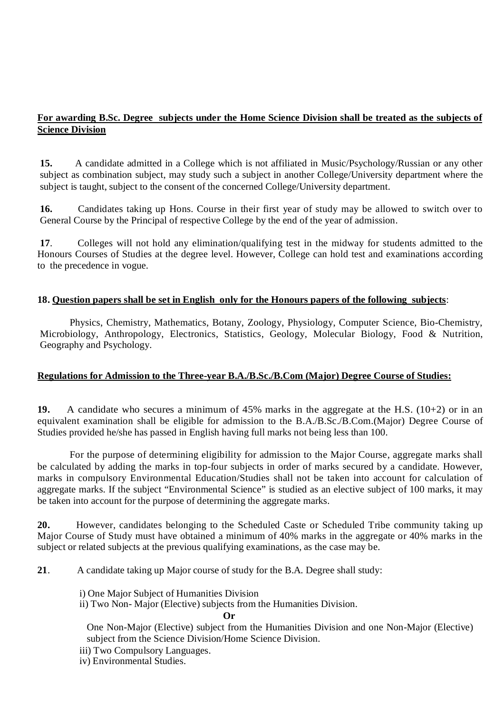#### **For awarding B.Sc. Degree subjects under the Home Science Division shall be treated as the subjects of Science Division**

**15.** A candidate admitted in a College which is not affiliated in Music/Psychology/Russian or any other subject as combination subject, may study such a subject in another College/University department where the subject is taught, subject to the consent of the concerned College/University department.

**16.** Candidates taking up Hons. Course in their first year of study may be allowed to switch over to General Course by the Principal of respective College by the end of the year of admission.

**17**. Colleges will not hold any elimination/qualifying test in the midway for students admitted to the Honours Courses of Studies at the degree level. However, College can hold test and examinations according to the precedence in vogue.

#### **18. Question papers shall be set in English only for the Honours papers of the following subjects**:

Physics, Chemistry, Mathematics, Botany, Zoology, Physiology, Computer Science, Bio-Chemistry, Microbiology, Anthropology, Electronics, Statistics, Geology, Molecular Biology, Food & Nutrition, Geography and Psychology.

#### **Regulations for Admission to the Three-year B.A./B.Sc./B.Com (Major) Degree Course of Studies:**

**19.** A candidate who secures a minimum of 45% marks in the aggregate at the H.S. (10+2) or in an equivalent examination shall be eligible for admission to the B.A./B.Sc./B.Com.(Major) Degree Course of Studies provided he/she has passed in English having full marks not being less than 100.

For the purpose of determining eligibility for admission to the Major Course, aggregate marks shall be calculated by adding the marks in top-four subjects in order of marks secured by a candidate. However, marks in compulsory Environmental Education/Studies shall not be taken into account for calculation of aggregate marks. If the subject "Environmental Science" is studied as an elective subject of 100 marks, it may be taken into account for the purpose of determining the aggregate marks.

**20.** However, candidates belonging to the Scheduled Caste or Scheduled Tribe community taking up Major Course of Study must have obtained a minimum of 40% marks in the aggregate or 40% marks in the subject or related subjects at the previous qualifying examinations, as the case may be.

**21**. A candidate taking up Major course of study for the B.A. Degree shall study:

i) One Major Subject of Humanities Division

ii) Two Non- Major (Elective) subjects from the Humanities Division.

**Or** 

One Non-Major (Elective) subject from the Humanities Division and one Non-Major (Elective) subject from the Science Division/Home Science Division.

iii) Two Compulsory Languages.

iv) Environmental Studies.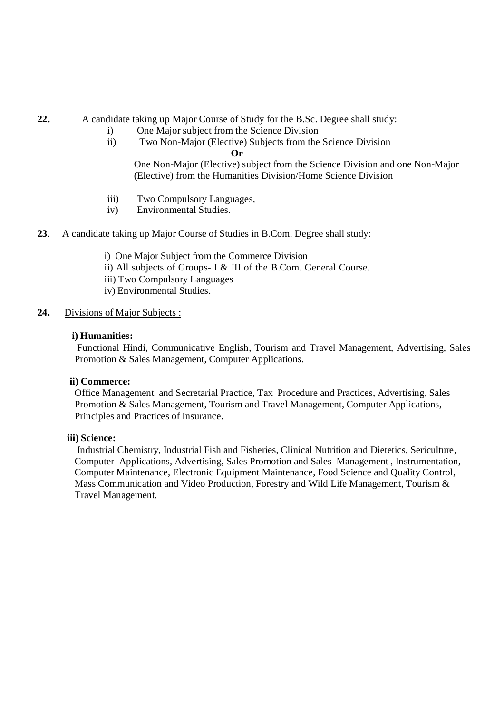**22.** A candidate taking up Major Course of Study for the B.Sc. Degree shall study:

- i) One Major subject from the Science Division
- ii) Two Non-Major (Elective) Subjects from the Science Division

**Or**

One Non-Major (Elective) subject from the Science Division and one Non-Major (Elective) from the Humanities Division/Home Science Division

- iii) Two Compulsory Languages,
- iv) Environmental Studies.
- **23**. A candidate taking up Major Course of Studies in B.Com. Degree shall study:
	- i) One Major Subject from the Commerce Division
	- ii) All subjects of Groups- I & III of the B.Com. General Course.
	- iii) Two Compulsory Languages
	- iv) Environmental Studies.

#### **24.** Divisions of Major Subjects :

#### **i) Humanities:**

Functional Hindi, Communicative English, Tourism and Travel Management, Advertising, Sales Promotion & Sales Management, Computer Applications.

#### **ii) Commerce:**

Office Management and Secretarial Practice, Tax Procedure and Practices, Advertising, Sales Promotion & Sales Management, Tourism and Travel Management, Computer Applications, Principles and Practices of Insurance.

#### **iii) Science:**

Industrial Chemistry, Industrial Fish and Fisheries, Clinical Nutrition and Dietetics, Sericulture, Computer Applications, Advertising, Sales Promotion and Sales Management , Instrumentation, Computer Maintenance, Electronic Equipment Maintenance, Food Science and Quality Control, Mass Communication and Video Production, Forestry and Wild Life Management, Tourism & Travel Management.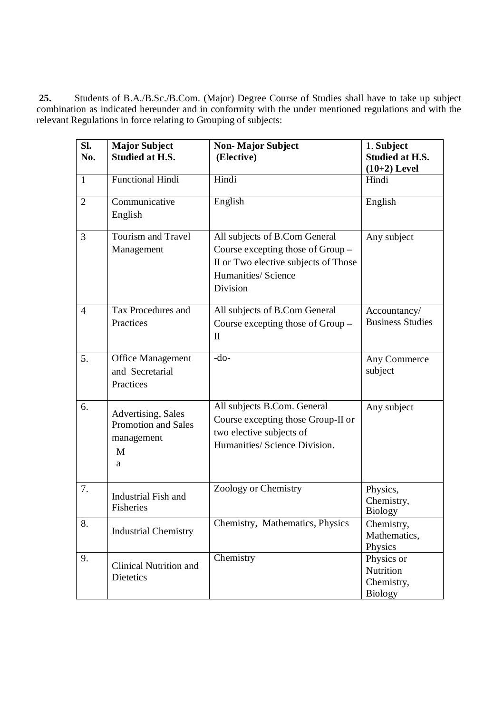**25.** Students of B.A./B.Sc./B.Com. (Major) Degree Course of Studies shall have to take up subject combination as indicated hereunder and in conformity with the under mentioned regulations and with the relevant Regulations in force relating to Grouping of subjects:

| SI.            | <b>Major Subject</b>          | <b>Non-Major Subject</b>             | 1. Subject              |
|----------------|-------------------------------|--------------------------------------|-------------------------|
| No.            | <b>Studied at H.S.</b>        | (Elective)                           | <b>Studied at H.S.</b>  |
|                |                               |                                      | $(10+2)$ Level          |
| $\mathbf{1}$   | <b>Functional Hindi</b>       | Hindi                                | Hindi                   |
| 2              | Communicative                 | English                              | English                 |
|                | English                       |                                      |                         |
| 3              | Tourism and Travel            | All subjects of B.Com General        | Any subject             |
|                | Management                    | Course excepting those of Group -    |                         |
|                |                               | II or Two elective subjects of Those |                         |
|                |                               | Humanities/ Science                  |                         |
|                |                               | <b>Division</b>                      |                         |
| $\overline{4}$ | Tax Procedures and            | All subjects of B.Com General        | Accountancy/            |
|                | Practices                     | Course excepting those of Group –    | <b>Business Studies</b> |
|                |                               | $\mathbf{I}$                         |                         |
|                |                               |                                      |                         |
| 5.             | Office Management             | $-do-$                               | Any Commerce            |
|                | and Secretarial               |                                      | subject                 |
|                | Practices                     |                                      |                         |
|                |                               |                                      |                         |
| 6.             | Advertising, Sales            | All subjects B.Com. General          | Any subject             |
|                | Promotion and Sales           | Course excepting those Group-II or   |                         |
|                | management                    | two elective subjects of             |                         |
|                | M                             | Humanities/ Science Division.        |                         |
|                | a                             |                                      |                         |
|                |                               |                                      |                         |
| 7.             |                               | Zoology or Chemistry                 | Physics,                |
|                | Industrial Fish and           |                                      | Chemistry,              |
|                | Fisheries                     |                                      | <b>Biology</b>          |
| 8.             | <b>Industrial Chemistry</b>   | Chemistry, Mathematics, Physics      | Chemistry,              |
|                |                               |                                      | Mathematics,            |
|                |                               |                                      | Physics                 |
| 9.             | <b>Clinical Nutrition and</b> | Chemistry                            | Physics or              |
|                | <b>Dietetics</b>              |                                      | Nutrition               |
|                |                               |                                      | Chemistry,              |
|                |                               |                                      | <b>Biology</b>          |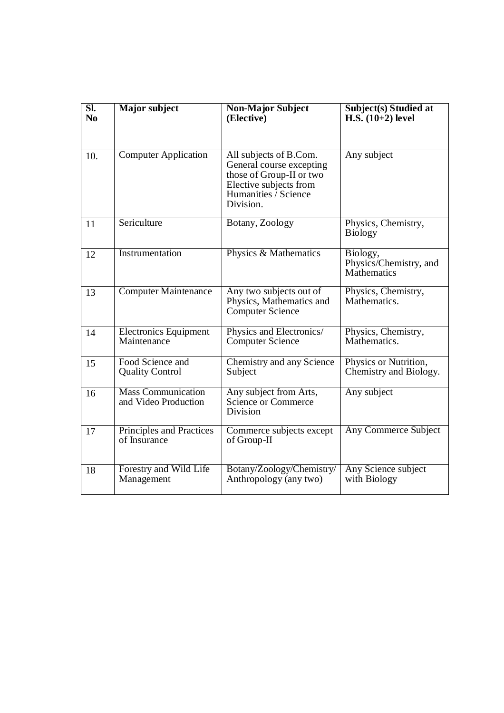| $\overline{\text{SL}}$<br>N <sub>0</sub> | <b>Major subject</b>                              | <b>Non-Major Subject</b><br>(Elective)                                                                                                        | <b>Subject(s)</b> Studied at<br>H.S. $(10+2)$ level |
|------------------------------------------|---------------------------------------------------|-----------------------------------------------------------------------------------------------------------------------------------------------|-----------------------------------------------------|
| 10.                                      | <b>Computer Application</b>                       | All subjects of B.Com.<br>General course excepting<br>those of Group-II or two<br>Elective subjects from<br>Humanities / Science<br>Division. | Any subject                                         |
| 11                                       | Sericulture                                       | Botany, Zoology                                                                                                                               | Physics, Chemistry,<br><b>Biology</b>               |
| 12                                       | Instrumentation                                   | Physics & Mathematics                                                                                                                         | Biology,<br>Physics/Chemistry, and<br>Mathematics   |
| 13                                       | <b>Computer Maintenance</b>                       | Any two subjects out of<br>Physics, Mathematics and<br><b>Computer Science</b>                                                                | Physics, Chemistry,<br>Mathematics.                 |
| 14                                       | <b>Electronics Equipment</b><br>Maintenance       | Physics and Electronics/<br><b>Computer Science</b>                                                                                           | Physics, Chemistry,<br>Mathematics.                 |
| 15                                       | Food Science and<br><b>Quality Control</b>        | Chemistry and any Science<br>Subject                                                                                                          | Physics or Nutrition,<br>Chemistry and Biology.     |
| 16                                       | <b>Mass Communication</b><br>and Video Production | Any subject from Arts,<br>Science or Commerce<br>Division                                                                                     | Any subject                                         |
| 17                                       | Principles and Practices<br>of Insurance          | Commerce subjects except<br>of Group-II                                                                                                       | <b>Any Commerce Subject</b>                         |
| 18                                       | Forestry and Wild Life<br>Management              | Botany/Zoology/Chemistry/<br>Anthropology (any two)                                                                                           | Any Science subject<br>with Biology                 |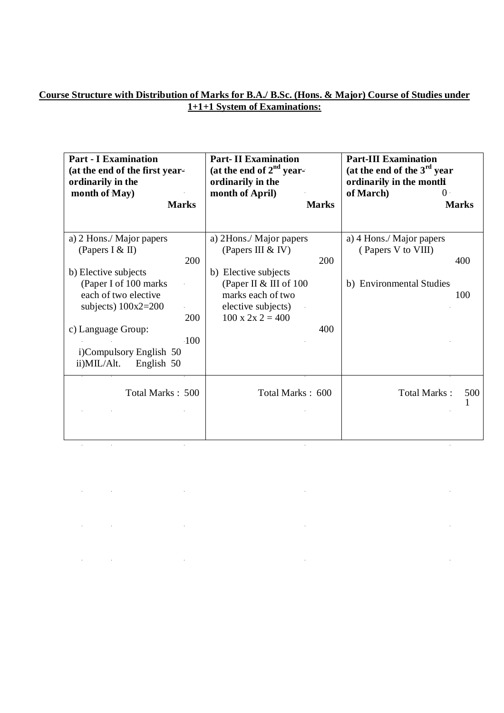#### **Course Structure with Distribution of Marks for B.A./ B.Sc. (Hons. & Major) Course of Studies under 1+1+1 System of Examinations:**

| <b>Part - I Examination</b><br>(at the end of the first year-<br>ordinarily in the<br>month of May)<br><b>Marks</b>                                                                                                                                         | <b>Part-II Examination</b><br>(at the end of $2nd$ year-<br>ordinarily in the<br>month of April)<br><b>Marks</b>                                                                         | <b>Part-III Examination</b><br>(at the end of the $3rd$ year<br>ordinarily in the month<br>of March)<br>$\Omega$<br><b>Marks</b> |
|-------------------------------------------------------------------------------------------------------------------------------------------------------------------------------------------------------------------------------------------------------------|------------------------------------------------------------------------------------------------------------------------------------------------------------------------------------------|----------------------------------------------------------------------------------------------------------------------------------|
| a) 2 Hons./ Major papers<br>(Papers I & II)<br>200<br>b) Elective subjects<br>(Paper I of 100 marks)<br>each of two elective<br>subjects) $100x2=200$<br>200<br>c) Language Group:<br><b>100</b><br>i)Compulsory English 50<br>$ii)$ MIL/Alt.<br>English 50 | a) 2Hons./ Major papers<br>(Papers III & IV)<br>200<br>b) Elective subjects<br>(Paper II & III of 100<br>marks each of two<br>elective subjects)<br>$100 \times 2 \times 2 = 400$<br>400 | a) 4 Hons./ Major papers<br>(Papers V to VIII)<br>400<br>b) Environmental Studies<br>100                                         |
| Total Marks: 500                                                                                                                                                                                                                                            | Total Marks: 600                                                                                                                                                                         | Total Marks:<br>500                                                                                                              |

 $\mathcal{L}_{\text{max}}$ 

 $\mathcal{L}_{\text{max}}$  .

 $\label{eq:2.1} \frac{1}{2} \int_{\mathbb{R}^3} \frac{1}{\sqrt{2}} \, \frac{1}{\sqrt{2}} \, \frac{1}{\sqrt{2}} \, \frac{1}{\sqrt{2}} \, \frac{1}{\sqrt{2}} \, \frac{1}{\sqrt{2}} \, \frac{1}{\sqrt{2}} \, \frac{1}{\sqrt{2}} \, \frac{1}{\sqrt{2}} \, \frac{1}{\sqrt{2}} \, \frac{1}{\sqrt{2}} \, \frac{1}{\sqrt{2}} \, \frac{1}{\sqrt{2}} \, \frac{1}{\sqrt{2}} \, \frac{1}{\sqrt{2}} \, \frac{1}{\sqrt{2}} \,$ 

 $\frac{1}{2}$ 

 $\mathcal{L}_{\rm{max}}$ 

 $\sim 10^6$ 

 $\label{eq:2.1} \frac{1}{2} \int_{\mathbb{R}^3} \left| \frac{1}{2} \left( \frac{1}{2} \right) \right|^2 \, \mathrm{d} \mu \, \mathrm{d} \mu \, \mathrm{d} \mu \, \mathrm{d} \mu \, \mathrm{d} \mu \, \mathrm{d} \mu \, \mathrm{d} \mu \, \mathrm{d} \mu \, \mathrm{d} \mu \, \mathrm{d} \mu \, \mathrm{d} \mu \, \mathrm{d} \mu \, \mathrm{d} \mu \, \mathrm{d} \mu \, \mathrm{d} \mu \, \mathrm{d} \mu \, \mathrm{d} \mu \, \mathrm{d} \mu \, \$ 

 $\mathcal{L}(\mathcal{L}^{\mathcal{L}})$  and  $\mathcal{L}^{\mathcal{L}}$  are the set of the set of the set of  $\mathcal{L}^{\mathcal{L}}$ 

 $\mathcal{L}_{\mathcal{A}}$  and  $\mathcal{L}_{\mathcal{A}}$  are the set of the set of  $\mathcal{L}_{\mathcal{A}}$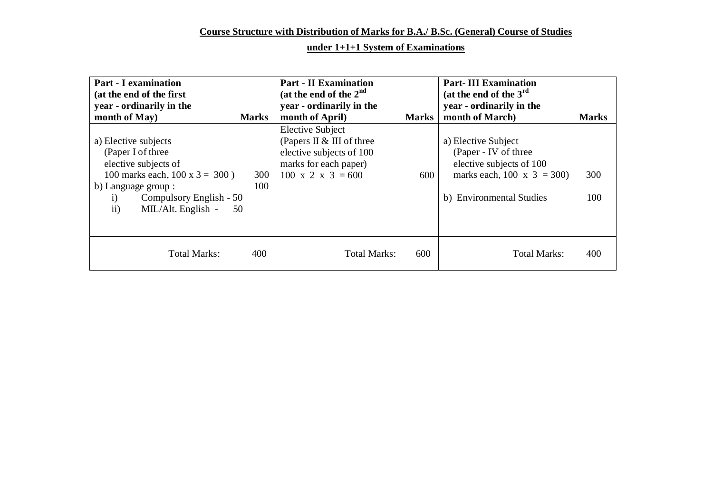## **Course Structure with Distribution of Marks for B.A./ B.Sc. (General) Course of Studies**

## **under 1+1+1 System of Examinations**

| <b>Part - I examination</b><br>(at the end of the first<br>year - ordinarily in the                                                                                                                              |              | <b>Part - II Examination</b><br>(at the end of the $2nd$<br>year - ordinarily in the                                                       |              | <b>Part-III Examination</b><br>(at the end of the $3rd$<br>year - ordinarily in the                                                  |              |
|------------------------------------------------------------------------------------------------------------------------------------------------------------------------------------------------------------------|--------------|--------------------------------------------------------------------------------------------------------------------------------------------|--------------|--------------------------------------------------------------------------------------------------------------------------------------|--------------|
| month of May)                                                                                                                                                                                                    | <b>Marks</b> | month of April)                                                                                                                            | <b>Marks</b> | month of March)                                                                                                                      | <b>Marks</b> |
| a) Elective subjects<br>(Paper I of three<br>elective subjects of<br>100 marks each, $100 \times 3 = 300$ )<br>b) Language group :<br>Compulsory English - 50<br>$\mathbf{i}$<br>ii)<br>MIL/Alt. English -<br>50 | 300<br>100   | <b>Elective Subject</b><br>(Papers II & III of three<br>elective subjects of 100<br>marks for each paper)<br>$100 \times 2 \times 3 = 600$ | 600          | a) Elective Subject<br>(Paper - IV of three<br>elective subjects of 100<br>marks each, 100 x $3 = 300$ )<br>b) Environmental Studies | 300<br>100   |
| <b>Total Marks:</b>                                                                                                                                                                                              | 400          | <b>Total Marks:</b>                                                                                                                        | 600          | <b>Total Marks:</b>                                                                                                                  | 400          |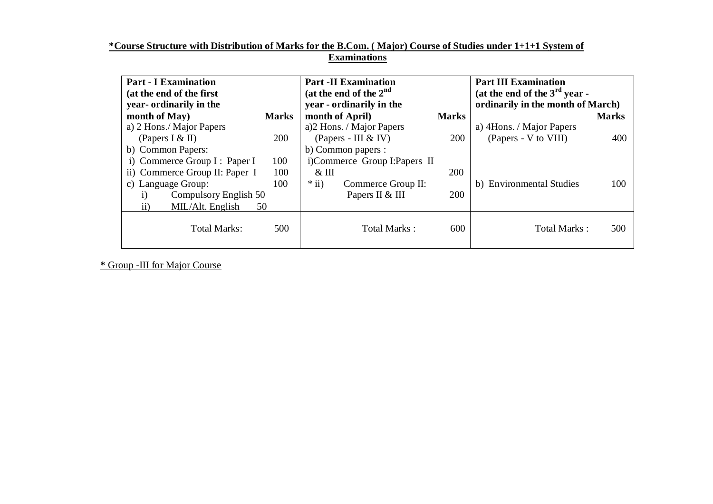#### **\*Course Structure with Distribution of Marks for the B.Com. ( Major) Course of Studies under 1+1+1 System of Examinations**

| <b>Part - I Examination</b><br>(at the end of the first<br>year- ordinarily in the |              | <b>Part -II Examination</b><br>(at the end of the $2nd$<br>year - ordinarily in the |              | <b>Part III Examination</b><br>(at the end of the $3rd$ year -<br>ordinarily in the month of March) |              |
|------------------------------------------------------------------------------------|--------------|-------------------------------------------------------------------------------------|--------------|-----------------------------------------------------------------------------------------------------|--------------|
| month of May)                                                                      | <b>Marks</b> | month of April)                                                                     | <b>Marks</b> |                                                                                                     | <b>Marks</b> |
| a) 2 Hons./ Major Papers                                                           |              | a)2 Hons. / Major Papers                                                            |              | a) 4Hons. / Major Papers                                                                            |              |
| (Papers I & II)                                                                    | 200          | (Papers - III & IV)                                                                 | 200          | (Papers - V to VIII)                                                                                | 400          |
| b) Common Papers:                                                                  |              | b) Common papers :                                                                  |              |                                                                                                     |              |
| i) Commerce Group I : Paper I                                                      | 100          | i)Commerce Group I: Papers II                                                       |              |                                                                                                     |              |
| ii) Commerce Group II: Paper I                                                     | 100          | $\&$ III                                                                            | 200          |                                                                                                     |              |
| c) Language Group:                                                                 | 100          | $*$ ii)<br>Commerce Group II:                                                       |              | b) Environmental Studies                                                                            | 100          |
| Compulsory English 50<br>$\mathbf{i}$                                              |              | Papers II & III                                                                     | <b>200</b>   |                                                                                                     |              |
| ii)<br>MIL/Alt. English                                                            | 50           |                                                                                     |              |                                                                                                     |              |
| Total Marks:                                                                       | 500          | Total Marks:                                                                        | 600          | Total Marks:                                                                                        | 500          |

 **\*** Group -III for Major Course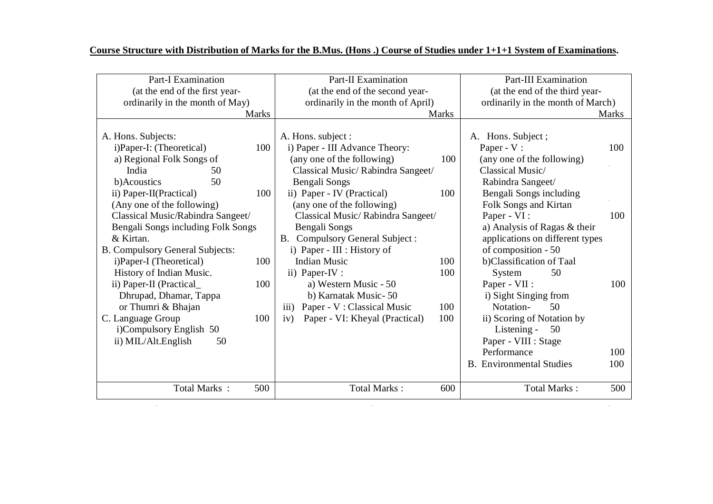| <b>Part-I Examination</b><br>(at the end of the first year-                                                                                                                                                                                                                                                                                                                                                                                                                                                                                                   | <b>Part-II Examination</b><br>(at the end of the second year-                                                                                                                                                                                                                                                                                                                                                                                                                                                                                               | <b>Part-III Examination</b><br>(at the end of the third year-                                                                                                                                                                                                                                                                                                                                                                                                                                          |
|---------------------------------------------------------------------------------------------------------------------------------------------------------------------------------------------------------------------------------------------------------------------------------------------------------------------------------------------------------------------------------------------------------------------------------------------------------------------------------------------------------------------------------------------------------------|-------------------------------------------------------------------------------------------------------------------------------------------------------------------------------------------------------------------------------------------------------------------------------------------------------------------------------------------------------------------------------------------------------------------------------------------------------------------------------------------------------------------------------------------------------------|--------------------------------------------------------------------------------------------------------------------------------------------------------------------------------------------------------------------------------------------------------------------------------------------------------------------------------------------------------------------------------------------------------------------------------------------------------------------------------------------------------|
| ordinarily in the month of May)                                                                                                                                                                                                                                                                                                                                                                                                                                                                                                                               | ordinarily in the month of April)                                                                                                                                                                                                                                                                                                                                                                                                                                                                                                                           | ordinarily in the month of March)                                                                                                                                                                                                                                                                                                                                                                                                                                                                      |
| <b>Marks</b>                                                                                                                                                                                                                                                                                                                                                                                                                                                                                                                                                  | <b>Marks</b>                                                                                                                                                                                                                                                                                                                                                                                                                                                                                                                                                | <b>Marks</b>                                                                                                                                                                                                                                                                                                                                                                                                                                                                                           |
| A. Hons. Subjects:<br>i)Paper-I: (Theoretical)<br>100<br>a) Regional Folk Songs of<br>India<br>50<br>50<br>b)Acoustics<br>100<br>ii) Paper-II(Practical)<br>(Any one of the following)<br>Classical Music/Rabindra Sangeet/<br>Bengali Songs including Folk Songs<br>& Kirtan.<br><b>B. Compulsory General Subjects:</b><br>i)Paper-I (Theoretical)<br>100<br>History of Indian Music.<br>ii) Paper-II (Practical_<br>100<br>Dhrupad, Dhamar, Tappa<br>or Thumri & Bhajan<br>C. Language Group<br>100<br>i)Compulsory English 50<br>ii) MIL/Alt.English<br>50 | A. Hons. subject :<br>i) Paper - III Advance Theory:<br>(any one of the following)<br>100<br>Classical Music/ Rabindra Sangeet/<br>Bengali Songs<br>ii) Paper - IV (Practical)<br>100<br>(any one of the following)<br>Classical Music/Rabindra Sangeet/<br>Bengali Songs<br>B. Compulsory General Subject:<br>i) Paper - III : History of<br><b>Indian Music</b><br>100<br>ii) Paper-IV :<br>100<br>a) Western Music - 50<br>b) Karnatak Music-50<br>Paper - V: Classical Music<br>100<br>$\overline{111}$<br>Paper - VI: Kheyal (Practical)<br>100<br>iv) | Hons. Subject;<br>A.<br>Paper - V:<br>100<br>(any one of the following)<br>Classical Music/<br>Rabindra Sangeet/<br>Bengali Songs including<br>Folk Songs and Kirtan<br>Paper - VI :<br>100<br>a) Analysis of Ragas & their<br>applications on different types<br>of composition - 50<br>b)Classification of Taal<br>50<br>System<br>Paper - VII :<br>100<br>i) Sight Singing from<br>Notation-<br>50<br>ii) Scoring of Notation by<br>Listening -<br>50<br>Paper - VIII : Stage<br>Performance<br>100 |
|                                                                                                                                                                                                                                                                                                                                                                                                                                                                                                                                                               |                                                                                                                                                                                                                                                                                                                                                                                                                                                                                                                                                             | <b>B.</b> Environmental Studies<br>100                                                                                                                                                                                                                                                                                                                                                                                                                                                                 |
| Total Marks:<br>500                                                                                                                                                                                                                                                                                                                                                                                                                                                                                                                                           | <b>Total Marks:</b><br>600                                                                                                                                                                                                                                                                                                                                                                                                                                                                                                                                  | <b>Total Marks:</b><br>500                                                                                                                                                                                                                                                                                                                                                                                                                                                                             |

#### **Course Structure with Distribution of Marks for the B.Mus. (Hons .) Course of Studies under 1+1+1 System of Examinations.**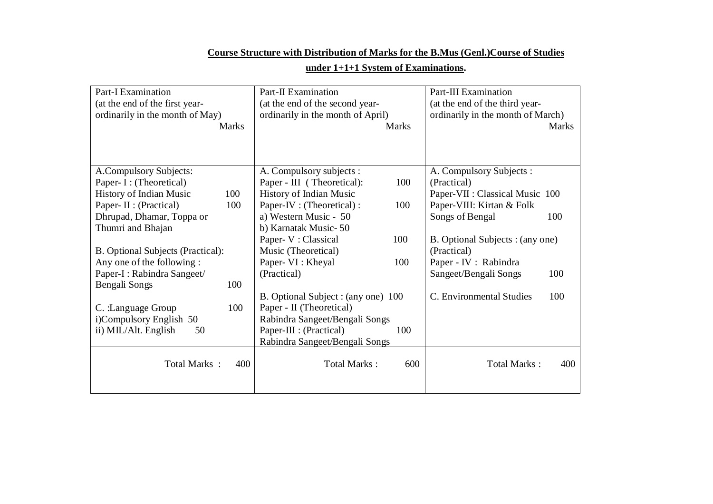# **Course Structure with Distribution of Marks for the B.Mus (Genl.)Course of Studies**

|  | under $1+1+1$ System of Examinations. |  |
|--|---------------------------------------|--|
|  |                                       |  |

| <b>Part-I Examination</b><br>(at the end of the first year-<br>ordinarily in the month of May)                         | <b>Part-II Examination</b><br>(at the end of the second year-<br>ordinarily in the month of April)                            | Part-III Examination<br>(at the end of the third year-<br>ordinarily in the month of March)             |
|------------------------------------------------------------------------------------------------------------------------|-------------------------------------------------------------------------------------------------------------------------------|---------------------------------------------------------------------------------------------------------|
| <b>Marks</b>                                                                                                           | <b>Marks</b>                                                                                                                  | <b>Marks</b>                                                                                            |
| A.Compulsory Subjects:<br>Paper- I : (Theoretical)<br>History of Indian Music<br>100<br>Paper- II : (Practical)<br>100 | A. Compulsory subjects :<br>Paper - III (Theoretical):<br>100<br>History of Indian Music<br>Paper-IV : (Theoretical) :<br>100 | A. Compulsory Subjects :<br>(Practical)<br>Paper-VII : Classical Music 100<br>Paper-VIII: Kirtan & Folk |
| Dhrupad, Dhamar, Toppa or<br>Thumri and Bhajan                                                                         | a) Western Music - 50<br>b) Karnatak Music-50<br>Paper- V : Classical<br>100                                                  | Songs of Bengal<br>100<br>B. Optional Subjects: (any one)                                               |
| <b>B.</b> Optional Subjects (Practical):<br>Any one of the following :<br>Paper-I : Rabindra Sangeet/                  | Music (Theoretical)<br>Paper- VI : Kheyal<br>100<br>(Practical)                                                               | (Practical)<br>Paper - IV : Rabindra<br>Sangeet/Bengali Songs<br>100                                    |
| Bengali Songs<br>100<br>C. :Language Group<br>100<br>i)Compulsory English 50                                           | B. Optional Subject : (any one) 100<br>Paper - II (Theoretical)<br>Rabindra Sangeet/Bengali Songs                             | C. Environmental Studies<br>100                                                                         |
| ii) MIL/Alt. English<br>50                                                                                             | Paper-III : (Practical)<br>100<br>Rabindra Sangeet/Bengali Songs                                                              |                                                                                                         |
| Total Marks:<br>400                                                                                                    | Total Marks:<br>600                                                                                                           | <b>Total Marks:</b><br>400                                                                              |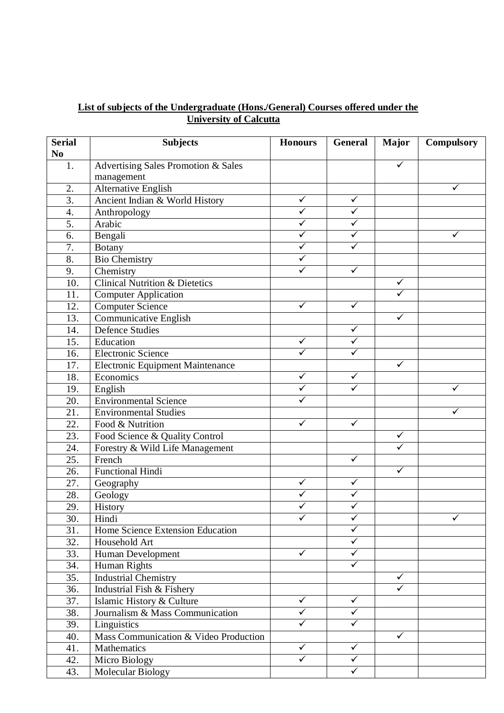## **List of subjects of the Undergraduate (Hons./General) Courses offered under the University of Calcutta**

| <b>Serial</b>    | <b>Subjects</b>                           | <b>Honours</b>          | General                 | <b>Major</b>            | <b>Compulsory</b> |
|------------------|-------------------------------------------|-------------------------|-------------------------|-------------------------|-------------------|
| N <sub>0</sub>   |                                           |                         |                         |                         |                   |
| 1.               | Advertising Sales Promotion & Sales       |                         |                         | ✓                       |                   |
|                  | management                                |                         |                         |                         |                   |
| 2.               | Alternative English                       |                         |                         |                         | ✓                 |
| $\overline{3}$ . | Ancient Indian & World History            | $\overline{\checkmark}$ | $\checkmark$            |                         |                   |
| 4.               | Anthropology                              | ✓                       | $\overline{\checkmark}$ |                         |                   |
| 5.               | Arabic                                    | ✓                       | ✓                       |                         |                   |
| 6.               | Bengali                                   | $\overline{\checkmark}$ | $\overline{\checkmark}$ |                         | ✓                 |
| 7.               | <b>Botany</b>                             | $\checkmark$            | $\overline{\checkmark}$ |                         |                   |
| 8.               | <b>Bio Chemistry</b>                      | ✓                       |                         |                         |                   |
| 9.               | Chemistry                                 | ✓                       | $\checkmark$            |                         |                   |
| 10.              | <b>Clinical Nutrition &amp; Dietetics</b> |                         |                         | $\checkmark$            |                   |
| 11.              | <b>Computer Application</b>               |                         |                         | $\checkmark$            |                   |
| 12.              | <b>Computer Science</b>                   | $\overline{\checkmark}$ | $\checkmark$            |                         |                   |
| 13.              | Communicative English                     |                         |                         | $\overline{\checkmark}$ |                   |
| 14.              | <b>Defence Studies</b>                    |                         | $\checkmark$            |                         |                   |
| 15.              | Education                                 | $\checkmark$            | $\checkmark$            |                         |                   |
| 16.              | <b>Electronic Science</b>                 | ✓                       | $\overline{\checkmark}$ |                         |                   |
| 17.              | Electronic Equipment Maintenance          |                         |                         | ✓                       |                   |
| 18.              | Economics                                 | $\checkmark$            | $\checkmark$            |                         |                   |
| 19.              | English                                   | $\checkmark$            | $\overline{\checkmark}$ |                         | ✓                 |
| 20.              | <b>Environmental Science</b>              |                         |                         |                         |                   |
| 21.              | <b>Environmental Studies</b>              |                         |                         |                         | ✓                 |
| 22.              | Food & Nutrition                          | ✓                       | $\overline{\checkmark}$ |                         |                   |
| 23.              | Food Science & Quality Control            |                         |                         | ✓                       |                   |
| 24.              | Forestry & Wild Life Management           |                         |                         | $\overline{\checkmark}$ |                   |
| 25.              | French                                    |                         | $\checkmark$            |                         |                   |
| 26.              | <b>Functional Hindi</b>                   |                         |                         | $\checkmark$            |                   |
| 27.              | Geography                                 | $\checkmark$            | $\checkmark$            |                         |                   |
| 28.              | Geology                                   | $\checkmark$            | $\checkmark$            |                         |                   |
| 29.              | History                                   |                         | ✓                       |                         |                   |
| 30.              | Hindi                                     | ✓                       | $\checkmark$            |                         | ✓                 |
| 31.              | Home Science Extension Education          |                         | ✓                       |                         |                   |
| 32.              | Household Art                             |                         | ✓                       |                         |                   |
| 33.              | Human Development                         | $\checkmark$            | ✓                       |                         |                   |
| 34.              | Human Rights                              |                         | $\checkmark$            |                         |                   |
| 35.              | <b>Industrial Chemistry</b>               |                         |                         | $\checkmark$            |                   |
| 36.              | Industrial Fish & Fishery                 |                         |                         | ✓                       |                   |
| 37.              | Islamic History & Culture                 | $\checkmark$            | $\checkmark$            |                         |                   |
| 38.              | Journalism & Mass Communication           | ✓                       | ✓                       |                         |                   |
| 39.              | Linguistics                               | ✓                       | ✓                       |                         |                   |
| 40.              | Mass Communication & Video Production     |                         |                         | $\checkmark$            |                   |
| 41.              | Mathematics                               | $\checkmark$            | $\checkmark$            |                         |                   |
| 42.              | Micro Biology                             | ✓                       | ✓                       |                         |                   |
| 43.              | Molecular Biology                         |                         | $\checkmark$            |                         |                   |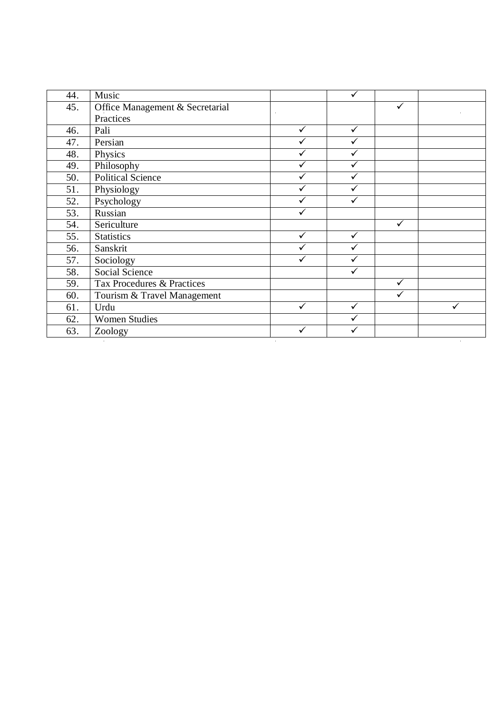| 44. | Music                           |   | $\checkmark$ |              |  |
|-----|---------------------------------|---|--------------|--------------|--|
| 45. | Office Management & Secretarial |   |              |              |  |
|     | Practices                       |   |              |              |  |
| 46. | Pali                            | ✓ | $\checkmark$ |              |  |
| 47. | Persian                         |   | ✓            |              |  |
| 48. | Physics                         |   | ✓            |              |  |
| 49. | Philosophy                      |   | ✓            |              |  |
| 50. | Political Science               |   |              |              |  |
| 51. | Physiology                      |   |              |              |  |
| 52. | Psychology                      |   |              |              |  |
| 53. | Russian                         |   |              |              |  |
| 54. | Sericulture                     |   |              | ✓            |  |
| 55. | <b>Statistics</b>               | ✓ | $\checkmark$ |              |  |
| 56. | Sanskrit                        |   | ✓            |              |  |
| 57. | Sociology                       |   |              |              |  |
| 58. | <b>Social Science</b>           |   |              |              |  |
| 59. | Tax Procedures & Practices      |   |              | $\checkmark$ |  |
| 60. | Tourism & Travel Management     |   |              | ✓            |  |
| 61. | Urdu                            | ✓ | ✓            |              |  |
| 62. | <b>Women Studies</b>            |   |              |              |  |
| 63. | Zoology                         |   |              |              |  |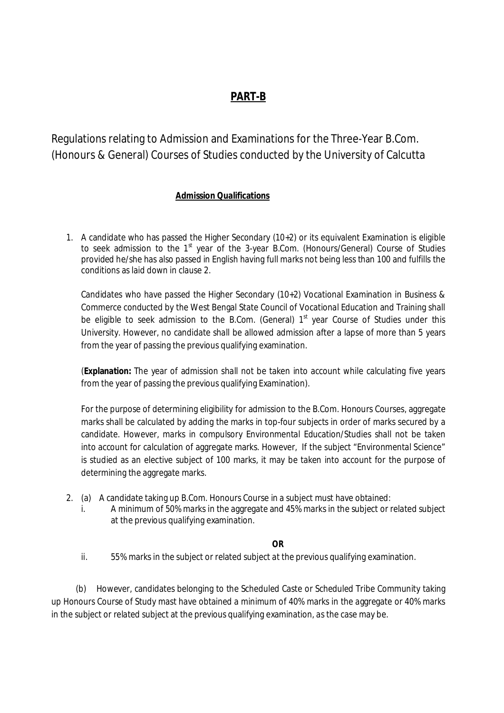## **PART-B**

Regulations relating to Admission and Examinations for the Three-Year B.Com. (Honours & General) Courses of Studies conducted by the University of Calcutta

#### **Admission Qualifications**

1. A candidate who has passed the Higher Secondary (10+2) or its equivalent Examination is eligible to seek admission to the 1<sup>st</sup> year of the 3-year B.Com. (Honours/General) Course of Studies provided he/she has also passed in English having full marks not being less than 100 and fulfills the conditions as laid down in clause 2.

Candidates who have passed the Higher Secondary (10+2) Vocational Examination in Business & Commerce conducted by the West Bengal State Council of Vocational Education and Training shall be eligible to seek admission to the B.Com. (General)  $1<sup>st</sup>$  year Course of Studies under this University. However, no candidate shall be allowed admission after a lapse of more than 5 years from the year of passing the previous qualifying examination.

(**Explanation:** The year of admission shall not be taken into account while calculating five years from the year of passing the previous qualifying Examination).

For the purpose of determining eligibility for admission to the B.Com. Honours Courses, aggregate marks shall be calculated by adding the marks in top-four subjects in order of marks secured by a candidate. However, marks in compulsory Environmental Education/Studies shall not be taken into account for calculation of aggregate marks. However, If the subject "Environmental Science" is studied as an elective subject of 100 marks, it may be taken into account for the purpose of determining the aggregate marks.

- 2. (a) A candidate taking up B.Com. Honours Course in a subject must have obtained:
	- i. A minimum of 50% marks in the aggregate and 45% marks in the subject or related subject at the previous qualifying examination.

#### **OR**

ii. 55% marks in the subject or related subject at the previous qualifying examination.

 (b) However, candidates belonging to the Scheduled Caste or Scheduled Tribe Community taking up Honours Course of Study mast have obtained a minimum of 40% marks in the aggregate or 40% marks in the subject or related subject at the previous qualifying examination, as the case may be.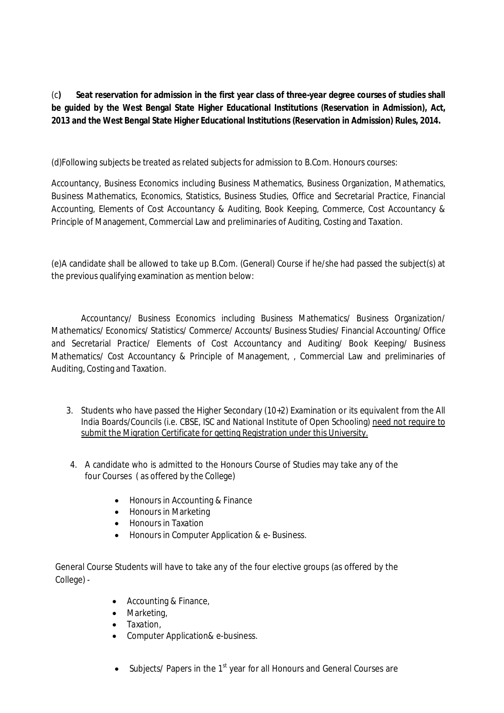(c**) Seat reservation for admission in the first year class of three-year degree courses of studies shall be guided by the West Bengal State Higher Educational Institutions (Reservation in Admission), Act, 2013 and the West Bengal State Higher Educational Institutions (Reservation in Admission) Rules, 2014.**

(d)Following subjects be treated as related subjects for admission to B.Com. Honours courses:

Accountancy, Business Economics including Business Mathematics, Business Organization, Mathematics, Business Mathematics, Economics, Statistics, Business Studies, Office and Secretarial Practice, Financial Accounting, Elements of Cost Accountancy & Auditing, Book Keeping, Commerce, Cost Accountancy & Principle of Management, Commercial Law and preliminaries of Auditing, Costing and Taxation.

(e)A candidate shall be allowed to take up B.Com. (General) Course if he/she had passed the subject(s) at the previous qualifying examination as mention below:

Accountancy/ Business Economics including Business Mathematics/ Business Organization/ Mathematics/ Economics/ Statistics/ Commerce/ Accounts/ Business Studies/ Financial Accounting/ Office and Secretarial Practice/ Elements of Cost Accountancy and Auditing/ Book Keeping/ Business Mathematics/ Cost Accountancy & Principle of Management, , Commercial Law and preliminaries of Auditing, Costing and Taxation.

- 3. Students who have passed the Higher Secondary (10+2) Examination or its equivalent from the All India Boards/Councils (i.e. CBSE, ISC and National Institute of Open Schooling) need not require to submit the Migration Certificate for getting Registration under this University.
- 4. A candidate who is admitted to the Honours Course of Studies may take any of the four Courses ( as offered by the College)
	- Honours in Accounting & Finance
	- Honours in Marketing
	- Honours in Taxation
	- Honours in Computer Application & e- Business.

General Course Students will have to take any of the four elective groups (as offered by the College) -

- Accounting & Finance,
- Marketing,
- Taxation,
- Computer Application& e-business.
- $\bullet$  Subjects/ Papers in the 1<sup>st</sup> year for all Honours and General Courses are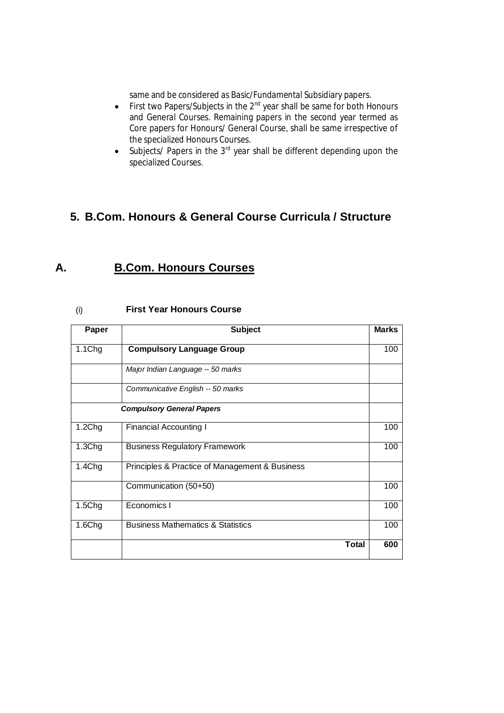same and be considered as Basic/Fundamental Subsidiary papers.

- First two Papers/Subjects in the  $2^{nd}$  year shall be same for both Honours and General Courses. Remaining papers in the second year termed as Core papers for Honours/ General Course, shall be same irrespective of the specialized Honours Courses.
- $\bullet$  Subjects/ Papers in the 3<sup>rd</sup> year shall be different depending upon the specialized Courses.

## **5. B.Com. Honours & General Course Curricula / Structure**

## **A. B.Com. Honours Courses**

| Paper              | <b>Subject</b>                                 | <b>Marks</b> |
|--------------------|------------------------------------------------|--------------|
| 1.1Chg             | <b>Compulsory Language Group</b>               | 100          |
|                    | Major Indian Language -- 50 marks              |              |
|                    | Communicative English -- 50 marks              |              |
|                    | <b>Compulsory General Papers</b>               |              |
| 1.2Chg             | <b>Financial Accounting I</b>                  | 100          |
| 1.3Chg             | <b>Business Regulatory Framework</b>           | 100          |
| 1.4Chg             | Principles & Practice of Management & Business |              |
|                    | Communication (50+50)                          | 100          |
| 1.5C <sub>ng</sub> | Economics I                                    | 100          |
| 1.6Chg             | <b>Business Mathematics &amp; Statistics</b>   | 100          |
|                    | <b>Total</b>                                   | 600          |

#### (i) **First Year Honours Course**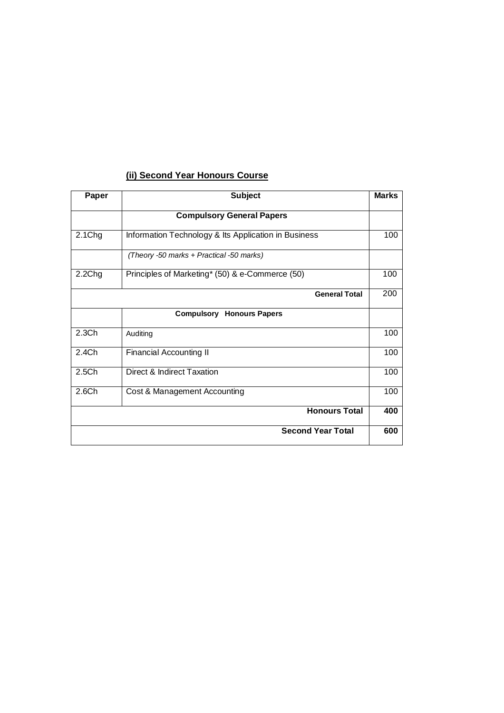## **(ii) Second Year Honours Course**

| Paper             | <b>Subject</b>                                       | <b>Marks</b> |
|-------------------|------------------------------------------------------|--------------|
|                   | <b>Compulsory General Papers</b>                     |              |
| 2.1Chg            | Information Technology & Its Application in Business | 100          |
|                   | (Theory -50 marks + Practical -50 marks)             |              |
| 2.2Chg            | Principles of Marketing* (50) & e-Commerce (50)      | 100          |
|                   | <b>General Total</b>                                 | 200          |
|                   | Compulsory<br><b>Honours Papers</b>                  |              |
| 2.3 <sub>Ch</sub> | Auditing                                             | 100          |
| 2.4Ch             | <b>Financial Accounting II</b>                       | 100          |
| 2.5 <sub>Ch</sub> | Direct & Indirect Taxation                           | 100          |
| 2.6Ch             | Cost & Management Accounting                         | 100          |
|                   | <b>Honours Total</b>                                 | 400          |
|                   | <b>Second Year Total</b>                             | 600          |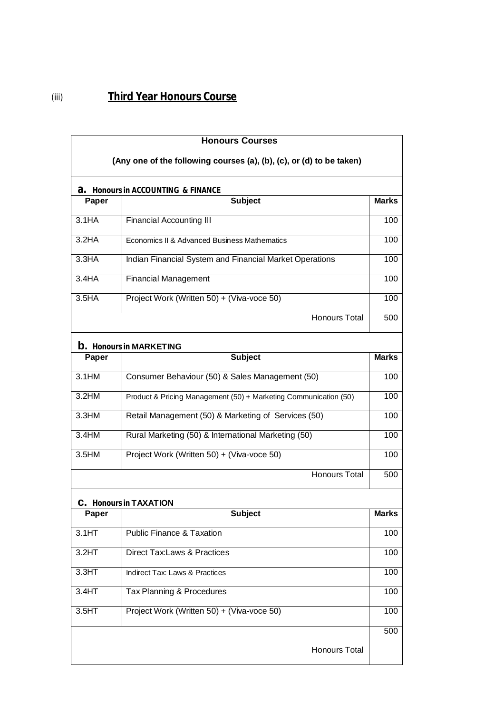| <b>Honours Courses</b><br>(Any one of the following courses (a), (b), (c), or (d) to be taken) |                                                                  |              |  |  |
|------------------------------------------------------------------------------------------------|------------------------------------------------------------------|--------------|--|--|
|                                                                                                | <b>a.</b> Honours in ACCOUNTING & FINANCE                        |              |  |  |
| Paper                                                                                          | <b>Subject</b>                                                   | <b>Marks</b> |  |  |
| 3.1HA                                                                                          | <b>Financial Accounting III</b>                                  | 100          |  |  |
| 3.2HA                                                                                          | Economics II & Advanced Business Mathematics                     | 100          |  |  |
| 3.3HA                                                                                          | Indian Financial System and Financial Market Operations          |              |  |  |
| 3.4HA                                                                                          | <b>Financial Management</b><br>100                               |              |  |  |
| 3.5 <sub>HA</sub>                                                                              | Project Work (Written 50) + (Viva-voce 50)                       | 100          |  |  |
|                                                                                                | <b>Honours Total</b>                                             | 500          |  |  |
|                                                                                                | <b>b.</b> Honours in MARKETING                                   |              |  |  |
| Paper                                                                                          | <b>Subject</b>                                                   | <b>Marks</b> |  |  |
| 3.1HM                                                                                          | Consumer Behaviour (50) & Sales Management (50)                  | 100          |  |  |
| 3.2HM                                                                                          | Product & Pricing Management (50) + Marketing Communication (50) |              |  |  |
| 3.3HM                                                                                          | Retail Management (50) & Marketing of Services (50)              |              |  |  |
| 3.4HM                                                                                          | Rural Marketing (50) & International Marketing (50)              |              |  |  |
| 3.5HM                                                                                          | Project Work (Written 50) + (Viva-voce 50)                       |              |  |  |
|                                                                                                | <b>Honours Total</b>                                             | 500          |  |  |
|                                                                                                | <b>C.</b> Honours in TAXATION                                    |              |  |  |
| Paper                                                                                          | <b>Subject</b>                                                   | <b>Marks</b> |  |  |
| 3.1HT                                                                                          | <b>Public Finance &amp; Taxation</b>                             | 100          |  |  |
| 3.2HT                                                                                          | <b>Direct Tax:Laws &amp; Practices</b>                           | 100          |  |  |
| 3.3HT                                                                                          | 100<br><b>Indirect Tax: Laws &amp; Practices</b>                 |              |  |  |
| 3.4HT                                                                                          | Tax Planning & Procedures<br>100                                 |              |  |  |
| 3.5HT                                                                                          | Project Work (Written 50) + (Viva-voce 50)                       | 100          |  |  |
|                                                                                                |                                                                  | 500          |  |  |
|                                                                                                | Honours Total                                                    |              |  |  |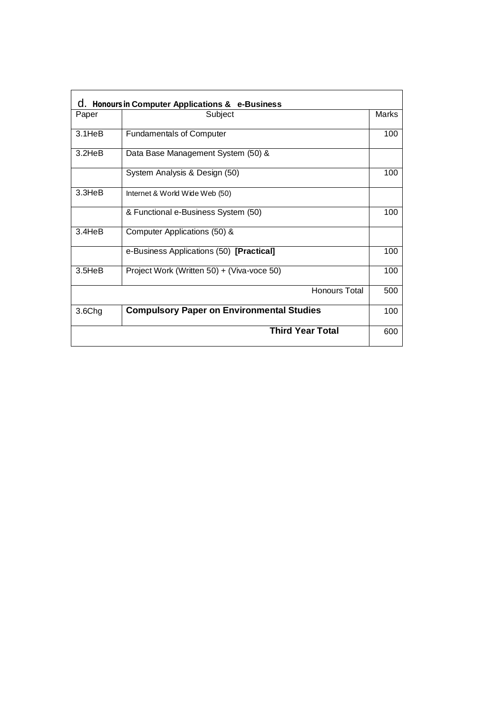| C. Honours in Computer Applications & e-Business |                                                  |       |  |  |
|--------------------------------------------------|--------------------------------------------------|-------|--|--|
| Paper                                            | Subject                                          | Marks |  |  |
| $3.1$ He $B$                                     | <b>Fundamentals of Computer</b>                  | 100   |  |  |
| $3.2$ He $B$                                     | Data Base Management System (50) &               |       |  |  |
|                                                  | System Analysis & Design (50)                    | 100   |  |  |
| $3.3$ He $B$                                     | Internet & World Wide Web (50)                   |       |  |  |
|                                                  | & Functional e-Business System (50)              | 100   |  |  |
| 3.4HeB                                           | Computer Applications (50) &                     |       |  |  |
|                                                  | e-Business Applications (50) [Practical]         | 100   |  |  |
| $3.5$ He $B$                                     | Project Work (Written 50) + (Viva-voce 50)       | 100   |  |  |
|                                                  | Honours Total                                    | 500   |  |  |
| 3.6Chg                                           | <b>Compulsory Paper on Environmental Studies</b> | 100   |  |  |
|                                                  | <b>Third Year Total</b>                          | 600   |  |  |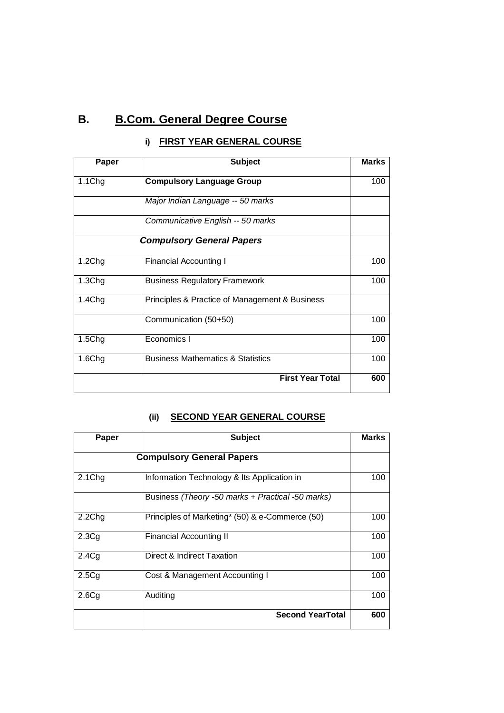# **B. B.Com. General Degree Course**

| Paper              | <b>Subject</b>                                 |     |  |  |
|--------------------|------------------------------------------------|-----|--|--|
| 1.1Chg             | <b>Compulsory Language Group</b>               |     |  |  |
|                    | Major Indian Language -- 50 marks              |     |  |  |
|                    | Communicative English -- 50 marks              |     |  |  |
|                    | <b>Compulsory General Papers</b>               |     |  |  |
| 1.2 <sub>Chg</sub> | <b>Financial Accounting I</b>                  | 100 |  |  |
| 1.3Chg             | <b>Business Regulatory Framework</b>           | 100 |  |  |
| 1.4Chg             | Principles & Practice of Management & Business |     |  |  |
|                    | Communication (50+50)                          | 100 |  |  |
| 1.5C <sub>ng</sub> | Economics I                                    | 100 |  |  |
| 1.6Chg             | <b>Business Mathematics &amp; Statistics</b>   | 100 |  |  |
|                    | <b>First Year Total</b>                        | 600 |  |  |

## **i) FIRST YEAR GENERAL COURSE**

#### **(ii) SECOND YEAR GENERAL COURSE**

| Paper              | <b>Subject</b>                                    |     |  |  |
|--------------------|---------------------------------------------------|-----|--|--|
|                    | <b>Compulsory General Papers</b>                  |     |  |  |
| 2.1 <sub>Chg</sub> | Information Technology & Its Application in       | 100 |  |  |
|                    | Business (Theory -50 marks + Practical -50 marks) |     |  |  |
| 2.2Chg             | Principles of Marketing* (50) & e-Commerce (50)   | 100 |  |  |
| 2.3Cg              | Financial Accounting II                           | 100 |  |  |
| 2.4C <sub>q</sub>  | Direct & Indirect Taxation                        | 100 |  |  |
| 2.5Cg              | Cost & Management Accounting I                    | 100 |  |  |
| 2.6Cg              | Auditing                                          | 100 |  |  |
|                    | <b>Second YearTotal</b>                           | 600 |  |  |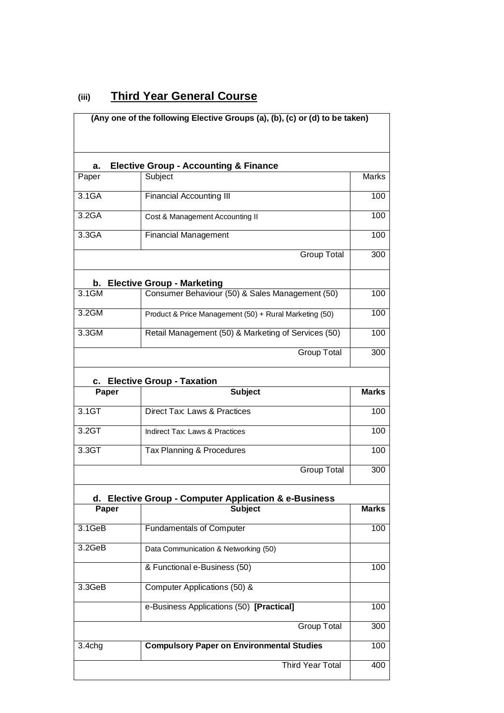| (iii) |  | <b>Third Year General Course</b> |  |
|-------|--|----------------------------------|--|
|       |  |                                  |  |

|                                        | (Any one of the following Elective Groups (a), (b), (c) or (d) to be taken) |              |  |  |
|----------------------------------------|-----------------------------------------------------------------------------|--------------|--|--|
| a.                                     | <b>Elective Group - Accounting &amp; Finance</b>                            |              |  |  |
| Paper                                  | Subject                                                                     | Marks        |  |  |
| 3.1GA                                  | <b>Financial Accounting III</b>                                             |              |  |  |
| 3.2 <sub>GA</sub>                      | Cost & Management Accounting II                                             |              |  |  |
| 3.3GA                                  | <b>Financial Management</b>                                                 |              |  |  |
|                                        | <b>Group Total</b>                                                          | 300          |  |  |
| b.                                     | <b>Elective Group - Marketing</b>                                           |              |  |  |
| 3.1GM                                  | Consumer Behaviour (50) & Sales Management (50)                             | 100          |  |  |
| 3.2GM                                  | Product & Price Management (50) + Rural Marketing (50)                      |              |  |  |
| 3.3GM                                  | Retail Management (50) & Marketing of Services (50)                         | 100          |  |  |
|                                        | <b>Group Total</b>                                                          | 300          |  |  |
| <b>Elective Group - Taxation</b><br>c. |                                                                             |              |  |  |
| Paper                                  | <b>Subject</b>                                                              | <b>Marks</b> |  |  |
| 3.1GT                                  | <b>Direct Tax: Laws &amp; Practices</b>                                     | 100          |  |  |
| 3.2GT                                  | <b>Indirect Tax: Laws &amp; Practices</b>                                   | 100          |  |  |
| 3.3GT<br>Tax Planning & Procedures     |                                                                             | 100          |  |  |
|                                        | <b>Group Total</b>                                                          | 300          |  |  |
|                                        | d. Elective Group - Computer Application & e-Business                       |              |  |  |
| Paper                                  | <b>Subject</b>                                                              | <b>Marks</b> |  |  |
| 3.1GeB                                 | <b>Fundamentals of Computer</b>                                             | 100          |  |  |
| 3.2GeB                                 | Data Communication & Networking (50)                                        |              |  |  |
|                                        | & Functional e-Business (50)                                                | 100          |  |  |
| 3.3GeB                                 | Computer Applications (50) &                                                |              |  |  |
|                                        | e-Business Applications (50) [Practical]                                    | 100          |  |  |
|                                        | <b>Group Total</b>                                                          | 300          |  |  |
| 3.4chg                                 | <b>Compulsory Paper on Environmental Studies</b>                            | 100          |  |  |
|                                        | <b>Third Year Total</b>                                                     | 400          |  |  |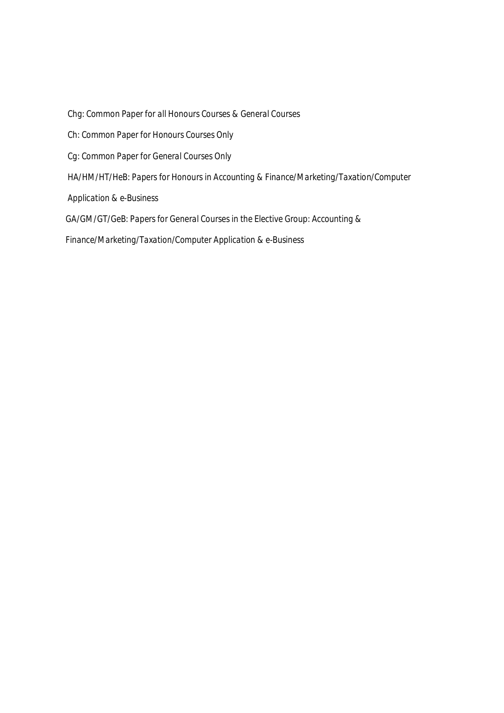*Chg: Common Paper for all Honours Courses & General Courses*

 *Ch: Common Paper for Honours Courses Only*

 *Cg: Common Paper for General Courses Only* 

 *HA/HM/HT/HeB: Papers for Honours in Accounting & Finance/Marketing/Taxation/Computer* 

 *Application & e-Business* 

 *GA/GM/GT/GeB: Papers for General Courses in the Elective Group: Accounting &* 

 *Finance/Marketing/Taxation/Computer Application & e-Business*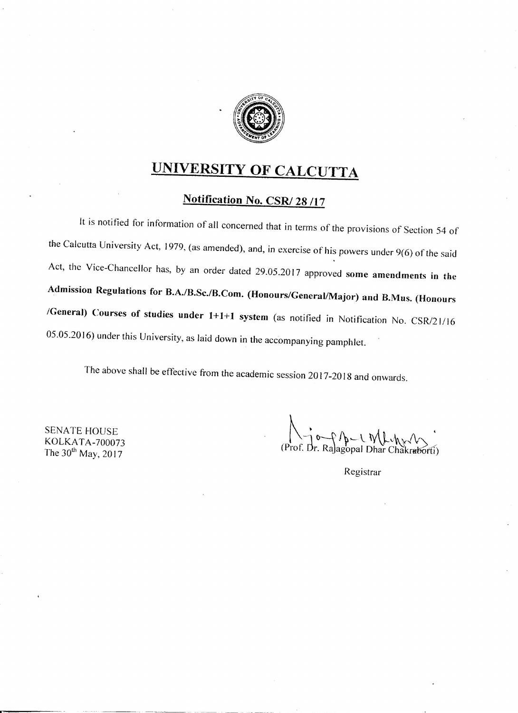

# UNIVERSITY OF CALCUTTA

# Notification No. CSR/28/17

It is notified for information of all concerned that in terms of the provisions of Section 54 of the Calcutta University Act, 1979, (as amended), and, in exercise of his powers under 9(6) of the said Act, the Vice-Chancellor has, by an order dated 29.05.2017 approved some amendments in the Admission Regulations for B.A./B.Sc./B.Com. (Honours/General/Major) and B.Mus. (Honours /General) Courses of studies under 1+1+1 system (as notified in Notification No. CSR/21/16 05.05.2016) under this University, as laid down in the accompanying pamphlet.

The above shall be effective from the academic session 2017-2018 and onwards.

**SENATE HOUSE** KOLKATA-700073 The 30<sup>th</sup> May, 2017

 $44 - 44$ (Prof. Dr. Ra)agopal Dhar Chakraborti)

Registrar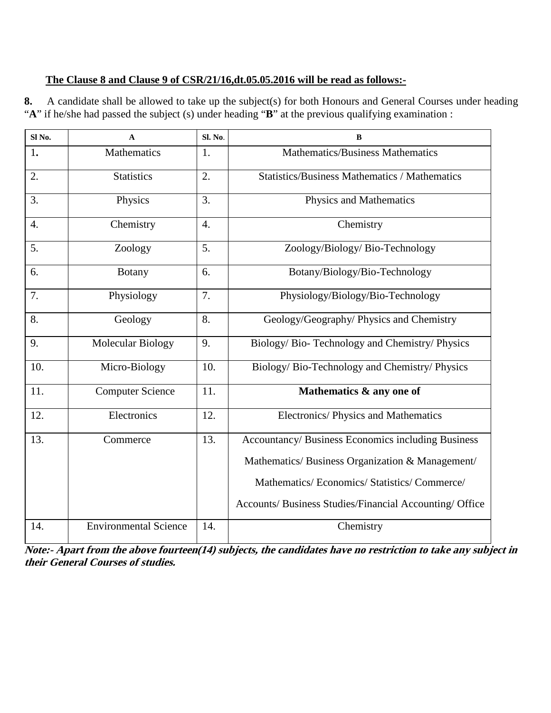#### **The Clause 8 and Clause 9 of CSR/21/16,dt.05.05.2016 will be read as follows:-**

**8.** A candidate shall be allowed to take up the subject(s) for both Honours and General Courses under heading "**A**" if he/she had passed the subject (s) under heading "**B**" at the previous qualifying examination :

| Sl <sub>No.</sub> | $\mathbf{A}$                 | Sl. No.          | $\bf{B}$                                                |
|-------------------|------------------------------|------------------|---------------------------------------------------------|
| 1.                | Mathematics                  | 1.               | <b>Mathematics/Business Mathematics</b>                 |
| 2.                | <b>Statistics</b>            | 2.               | <b>Statistics/Business Mathematics / Mathematics</b>    |
| 3.                | Physics                      | 3.               | Physics and Mathematics                                 |
| $\overline{4}$ .  | Chemistry                    | $\overline{4}$ . | Chemistry                                               |
| 5.                | Zoology                      | 5.               | Zoology/Biology/Bio-Technology                          |
| 6.                | <b>Botany</b>                | 6.               | Botany/Biology/Bio-Technology                           |
| 7.                | Physiology                   | 7.               | Physiology/Biology/Bio-Technology                       |
| 8.                | Geology                      | 8.               | Geology/Geography/ Physics and Chemistry                |
| 9.                | Molecular Biology            | 9.               | Biology/Bio-Technology and Chemistry/Physics            |
| 10.               | Micro-Biology                | 10.              | Biology/Bio-Technology and Chemistry/Physics            |
| 11.               | <b>Computer Science</b>      | 11.              | Mathematics & any one of                                |
| 12.               | Electronics                  | 12.              | Electronics/ Physics and Mathematics                    |
| 13.               | Commerce                     | 13.              | Accountancy/ Business Economics including Business      |
|                   |                              |                  | Mathematics/ Business Organization & Management/        |
|                   |                              |                  | Mathematics/ Economics/ Statistics/ Commerce/           |
|                   |                              |                  | Accounts/ Business Studies/Financial Accounting/ Office |
| 14.               | <b>Environmental Science</b> | 14.              | Chemistry                                               |

 **Note:- Apart from the above fourteen(14) subjects, the candidates have no restriction to take any subject in their General Courses of studies.**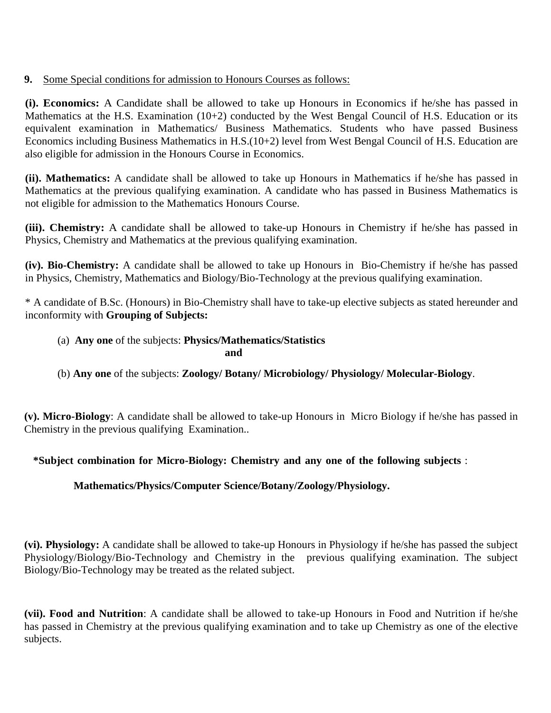#### **9.** Some Special conditions for admission to Honours Courses as follows:

**(i). Economics:** A Candidate shall be allowed to take up Honours in Economics if he/she has passed in Mathematics at the H.S. Examination (10+2) conducted by the West Bengal Council of H.S. Education or its equivalent examination in Mathematics/ Business Mathematics. Students who have passed Business Economics including Business Mathematics in H.S.(10+2) level from West Bengal Council of H.S. Education are also eligible for admission in the Honours Course in Economics.

**(ii). Mathematics:** A candidate shall be allowed to take up Honours in Mathematics if he/she has passed in Mathematics at the previous qualifying examination. A candidate who has passed in Business Mathematics is not eligible for admission to the Mathematics Honours Course.

**(iii). Chemistry:** A candidate shall be allowed to take-up Honours in Chemistry if he/she has passed in Physics, Chemistry and Mathematics at the previous qualifying examination.

**(iv). Bio-Chemistry:** A candidate shall be allowed to take up Honours in Bio-Chemistry if he/she has passed in Physics, Chemistry, Mathematics and Biology/Bio-Technology at the previous qualifying examination.

\* A candidate of B.Sc. (Honours) in Bio-Chemistry shall have to take-up elective subjects as stated hereunder and inconformity with **Grouping of Subjects:** 

# (a) **Any one** of the subjects: **Physics/Mathematics/Statistics**

#### **and**

## (b) **Any one** of the subjects: **Zoology/ Botany/ Microbiology/ Physiology/ Molecular-Biology**.

**(v). Micro-Biology**: A candidate shall be allowed to take-up Honours in Micro Biology if he/she has passed in Chemistry in the previous qualifying Examination..

#### **\*Subject combination for Micro-Biology: Chemistry and any one of the following subjects** :

## **Mathematics/Physics/Computer Science/Botany/Zoology/Physiology.**

**(vi). Physiology:** A candidate shall be allowed to take-up Honours in Physiology if he/she has passed the subject Physiology/Biology/Bio-Technology and Chemistry in the previous qualifying examination. The subject Biology/Bio-Technology may be treated as the related subject.

**(vii). Food and Nutrition**: A candidate shall be allowed to take-up Honours in Food and Nutrition if he/she has passed in Chemistry at the previous qualifying examination and to take up Chemistry as one of the elective subjects.